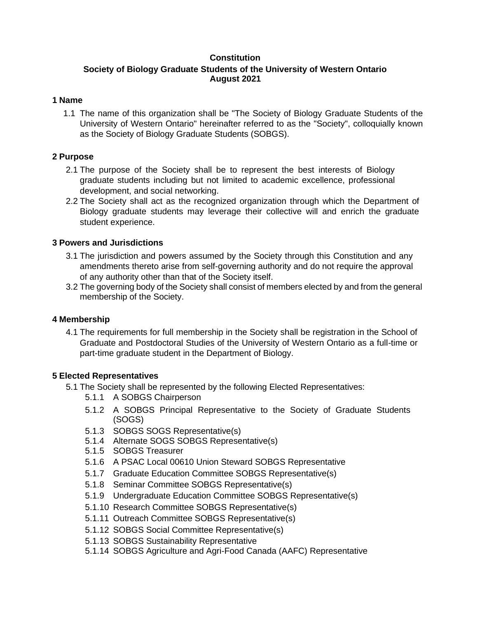# **Constitution**

# **Society of Biology Graduate Students of the University of Western Ontario August 2021**

# **1 Name**

1.1 The name of this organization shall be "The Society of Biology Graduate Students of the University of Western Ontario" hereinafter referred to as the "Society", colloquially known as the Society of Biology Graduate Students (SOBGS).

# **2 Purpose**

- 2.1 The purpose of the Society shall be to represent the best interests of Biology graduate students including but not limited to academic excellence, professional development, and social networking.
- 2.2 The Society shall act as the recognized organization through which the Department of Biology graduate students may leverage their collective will and enrich the graduate student experience.

# **3 Powers and Jurisdictions**

- 3.1 The jurisdiction and powers assumed by the Society through this Constitution and any amendments thereto arise from self-governing authority and do not require the approval of any authority other than that of the Society itself.
- 3.2 The governing body of the Society shall consist of members elected by and from the general membership of the Society.

# **4 Membership**

4.1 The requirements for full membership in the Society shall be registration in the School of Graduate and Postdoctoral Studies of the University of Western Ontario as a full-time or part-time graduate student in the Department of Biology.

# **5 Elected Representatives**

- 5.1 The Society shall be represented by the following Elected Representatives:
	- 5.1.1 A SOBGS Chairperson
	- 5.1.2 A SOBGS Principal Representative to the Society of Graduate Students (SOGS)
	- 5.1.3 SOBGS SOGS Representative(s)
	- 5.1.4 Alternate SOGS SOBGS Representative(s)
	- 5.1.5 SOBGS Treasurer
	- 5.1.6 A PSAC Local 00610 Union Steward SOBGS Representative
	- 5.1.7 Graduate Education Committee SOBGS Representative(s)
	- 5.1.8 Seminar Committee SOBGS Representative(s)
	- 5.1.9 Undergraduate Education Committee SOBGS Representative(s)
	- 5.1.10 Research Committee SOBGS Representative(s)
	- 5.1.11 Outreach Committee SOBGS Representative(s)
	- 5.1.12 SOBGS Social Committee Representative(s)
	- 5.1.13 SOBGS Sustainability Representative
	- 5.1.14 SOBGS Agriculture and Agri-Food Canada (AAFC) Representative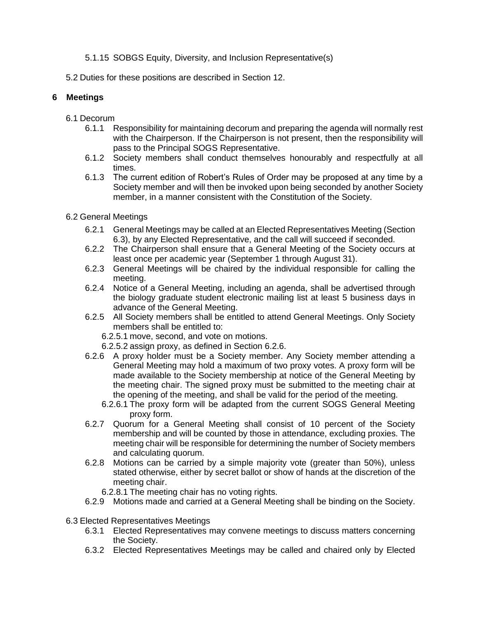# 5.1.15 SOBGS Equity, Diversity, and Inclusion Representative(s)

5.2 Duties for these positions are described in Section 12.

# **6 Meetings**

- 6.1 Decorum
	- 6.1.1 Responsibility for maintaining decorum and preparing the agenda will normally rest with the Chairperson. If the Chairperson is not present, then the responsibility will pass to the Principal SOGS Representative.
	- 6.1.2 Society members shall conduct themselves honourably and respectfully at all times.
	- 6.1.3 The current edition of Robert's Rules of Order may be proposed at any time by a Society member and will then be invoked upon being seconded by another Society member, in a manner consistent with the Constitution of the Society.
- 6.2 General Meetings
	- 6.2.1 General Meetings may be called at an Elected Representatives Meeting (Section 6.3), by any Elected Representative, and the call will succeed if seconded.
	- 6.2.2 The Chairperson shall ensure that a General Meeting of the Society occurs at least once per academic year (September 1 through August 31).
	- 6.2.3 General Meetings will be chaired by the individual responsible for calling the meeting.
	- 6.2.4 Notice of a General Meeting, including an agenda, shall be advertised through the biology graduate student electronic mailing list at least 5 business days in advance of the General Meeting.
	- 6.2.5 All Society members shall be entitled to attend General Meetings. Only Society members shall be entitled to:
		- 6.2.5.1 move, second, and vote on motions.
		- 6.2.5.2 assign proxy, as defined in Section 6.2.6.
	- 6.2.6 A proxy holder must be a Society member. Any Society member attending a General Meeting may hold a maximum of two proxy votes. A proxy form will be made available to the Society membership at notice of the General Meeting by the meeting chair. The signed proxy must be submitted to the meeting chair at the opening of the meeting, and shall be valid for the period of the meeting.
		- 6.2.6.1 The proxy form will be adapted from the current SOGS General Meeting proxy form.
	- 6.2.7 Quorum for a General Meeting shall consist of 10 percent of the Society membership and will be counted by those in attendance, excluding proxies. The meeting chair will be responsible for determining the number of Society members and calculating quorum.
	- 6.2.8 Motions can be carried by a simple majority vote (greater than 50%), unless stated otherwise, either by secret ballot or show of hands at the discretion of the meeting chair.
		- 6.2.8.1 The meeting chair has no voting rights.
	- 6.2.9 Motions made and carried at a General Meeting shall be binding on the Society.
- 6.3 Elected Representatives Meetings
	- 6.3.1 Elected Representatives may convene meetings to discuss matters concerning the Society.
	- 6.3.2 Elected Representatives Meetings may be called and chaired only by Elected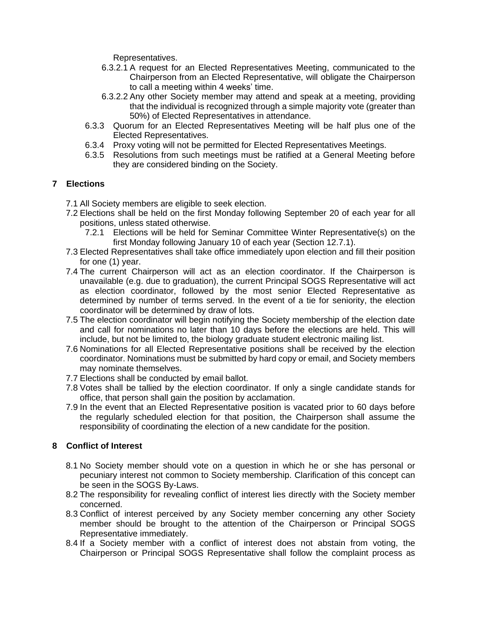Representatives.

- 6.3.2.1 A request for an Elected Representatives Meeting, communicated to the Chairperson from an Elected Representative, will obligate the Chairperson to call a meeting within 4 weeks' time.
- 6.3.2.2 Any other Society member may attend and speak at a meeting, providing that the individual is recognized through a simple majority vote (greater than 50%) of Elected Representatives in attendance.
- 6.3.3 Quorum for an Elected Representatives Meeting will be half plus one of the Elected Representatives.
- 6.3.4 Proxy voting will not be permitted for Elected Representatives Meetings.
- 6.3.5 Resolutions from such meetings must be ratified at a General Meeting before they are considered binding on the Society.

## **7 Elections**

- 7.1 All Society members are eligible to seek election.
- 7.2 Elections shall be held on the first Monday following September 20 of each year for all positions, unless stated otherwise.
	- 7.2.1 Elections will be held for Seminar Committee Winter Representative(s) on the first Monday following January 10 of each year (Section 12.7.1).
- 7.3 Elected Representatives shall take office immediately upon election and fill their position for one (1) year.
- 7.4 The current Chairperson will act as an election coordinator. If the Chairperson is unavailable (e.g. due to graduation), the current Principal SOGS Representative will act as election coordinator, followed by the most senior Elected Representative as determined by number of terms served. In the event of a tie for seniority, the election coordinator will be determined by draw of lots.
- 7.5 The election coordinator will begin notifying the Society membership of the election date and call for nominations no later than 10 days before the elections are held. This will include, but not be limited to, the biology graduate student electronic mailing list.
- 7.6 Nominations for all Elected Representative positions shall be received by the election coordinator. Nominations must be submitted by hard copy or email, and Society members may nominate themselves.
- 7.7 Elections shall be conducted by email ballot.
- 7.8 Votes shall be tallied by the election coordinator. If only a single candidate stands for office, that person shall gain the position by acclamation.
- 7.9 In the event that an Elected Representative position is vacated prior to 60 days before the regularly scheduled election for that position, the Chairperson shall assume the responsibility of coordinating the election of a new candidate for the position.

## **8 Conflict of Interest**

- 8.1 No Society member should vote on a question in which he or she has personal or pecuniary interest not common to Society membership. Clarification of this concept can be seen in the SOGS By-Laws.
- 8.2 The responsibility for revealing conflict of interest lies directly with the Society member concerned.
- 8.3 Conflict of interest perceived by any Society member concerning any other Society member should be brought to the attention of the Chairperson or Principal SOGS Representative immediately.
- 8.4 If a Society member with a conflict of interest does not abstain from voting, the Chairperson or Principal SOGS Representative shall follow the complaint process as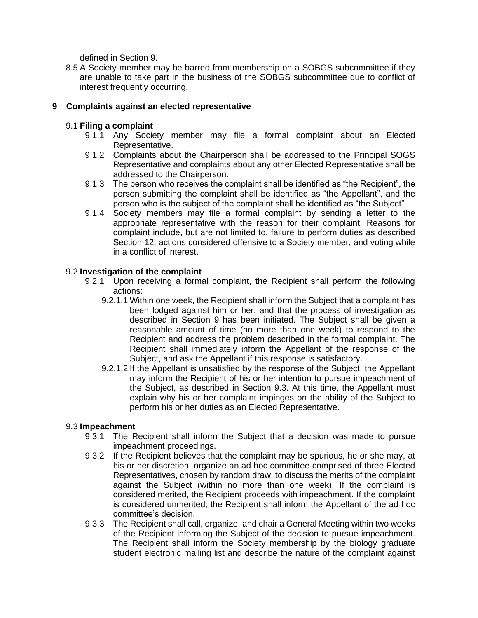defined in Section 9.

8.5 A Society member may be barred from membership on a SOBGS subcommittee if they are unable to take part in the business of the SOBGS subcommittee due to conflict of interest frequently occurring.

# **9 Complaints against an elected representative**

# 9.1 **Filing a complaint**

- 9.1.1 Any Society member may file a formal complaint about an Elected Representative.
- 9.1.2 Complaints about the Chairperson shall be addressed to the Principal SOGS Representative and complaints about any other Elected Representative shall be addressed to the Chairperson.
- 9.1.3 The person who receives the complaint shall be identified as "the Recipient", the person submitting the complaint shall be identified as "the Appellant", and the person who is the subject of the complaint shall be identified as "the Subject".
- 9.1.4 Society members may file a formal complaint by sending a letter to the appropriate representative with the reason for their complaint. Reasons for complaint include, but are not limited to, failure to perform duties as described Section 12, actions considered offensive to a Society member, and voting while in a conflict of interest.

#### 9.2 **Investigation of the complaint**

- 9.2.1 Upon receiving a formal complaint, the Recipient shall perform the following actions:
	- 9.2.1.1 Within one week, the Recipient shall inform the Subject that a complaint has been lodged against him or her, and that the process of investigation as described in Section 9 has been initiated. The Subject shall be given a reasonable amount of time (no more than one week) to respond to the Recipient and address the problem described in the formal complaint. The Recipient shall immediately inform the Appellant of the response of the Subject, and ask the Appellant if this response is satisfactory.
	- 9.2.1.2 If the Appellant is unsatisfied by the response of the Subject, the Appellant may inform the Recipient of his or her intention to pursue impeachment of the Subject, as described in Section 9.3. At this time, the Appellant must explain why his or her complaint impinges on the ability of the Subject to perform his or her duties as an Elected Representative.

## 9.3 **Impeachment**

- 9.3.1 The Recipient shall inform the Subject that a decision was made to pursue impeachment proceedings.
- 9.3.2 If the Recipient believes that the complaint may be spurious, he or she may, at his or her discretion, organize an ad hoc committee comprised of three Elected Representatives, chosen by random draw, to discuss the merits of the complaint against the Subject (within no more than one week). If the complaint is considered merited, the Recipient proceeds with impeachment. If the complaint is considered unmerited, the Recipient shall inform the Appellant of the ad hoc committee's decision.
- 9.3.3 The Recipient shall call, organize, and chair a General Meeting within two weeks of the Recipient informing the Subject of the decision to pursue impeachment. The Recipient shall inform the Society membership by the biology graduate student electronic mailing list and describe the nature of the complaint against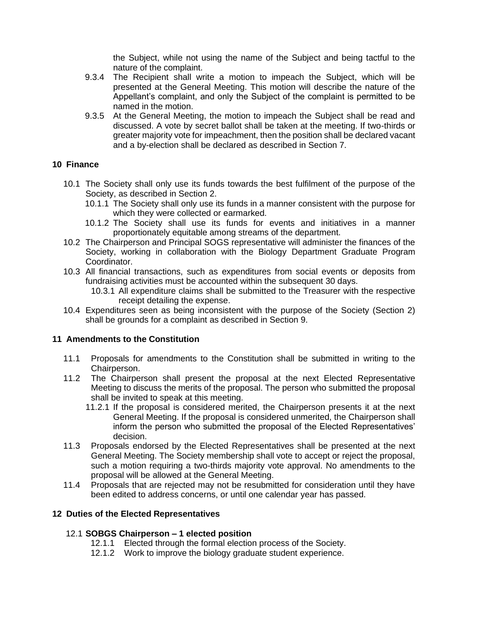the Subject, while not using the name of the Subject and being tactful to the nature of the complaint.

- 9.3.4 The Recipient shall write a motion to impeach the Subject, which will be presented at the General Meeting. This motion will describe the nature of the Appellant's complaint, and only the Subject of the complaint is permitted to be named in the motion.
- 9.3.5 At the General Meeting, the motion to impeach the Subject shall be read and discussed. A vote by secret ballot shall be taken at the meeting. If two-thirds or greater majority vote for impeachment, then the position shall be declared vacant and a by-election shall be declared as described in Section 7.

## **10 Finance**

- 10.1 The Society shall only use its funds towards the best fulfilment of the purpose of the Society, as described in Section 2.
	- 10.1.1 The Society shall only use its funds in a manner consistent with the purpose for which they were collected or earmarked.
	- 10.1.2 The Society shall use its funds for events and initiatives in a manner proportionately equitable among streams of the department.
- 10.2 The Chairperson and Principal SOGS representative will administer the finances of the Society, working in collaboration with the Biology Department Graduate Program Coordinator.
- 10.3 All financial transactions, such as expenditures from social events or deposits from fundraising activities must be accounted within the subsequent 30 days.
	- 10.3.1 All expenditure claims shall be submitted to the Treasurer with the respective receipt detailing the expense.
- 10.4 Expenditures seen as being inconsistent with the purpose of the Society (Section 2) shall be grounds for a complaint as described in Section 9.

#### **11 Amendments to the Constitution**

- 11.1 Proposals for amendments to the Constitution shall be submitted in writing to the Chairperson.
- 11.2 The Chairperson shall present the proposal at the next Elected Representative Meeting to discuss the merits of the proposal. The person who submitted the proposal shall be invited to speak at this meeting.
	- 11.2.1 If the proposal is considered merited, the Chairperson presents it at the next General Meeting. If the proposal is considered unmerited, the Chairperson shall inform the person who submitted the proposal of the Elected Representatives' decision.
- 11.3 Proposals endorsed by the Elected Representatives shall be presented at the next General Meeting. The Society membership shall vote to accept or reject the proposal, such a motion requiring a two-thirds majority vote approval. No amendments to the proposal will be allowed at the General Meeting.
- 11.4 Proposals that are rejected may not be resubmitted for consideration until they have been edited to address concerns, or until one calendar year has passed.

## **12 Duties of the Elected Representatives**

## 12.1 **SOBGS Chairperson – 1 elected position**

- 12.1.1 Elected through the formal election process of the Society.
- 12.1.2 Work to improve the biology graduate student experience.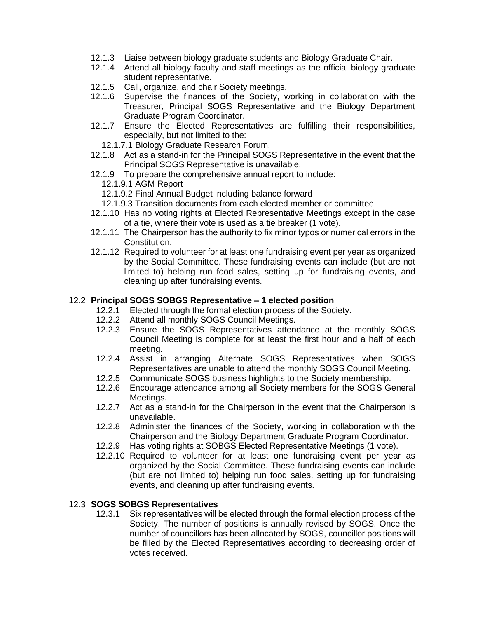- 12.1.3 Liaise between biology graduate students and Biology Graduate Chair.
- 12.1.4 Attend all biology faculty and staff meetings as the official biology graduate student representative.
- 12.1.5 Call, organize, and chair Society meetings.
- 12.1.6 Supervise the finances of the Society, working in collaboration with the Treasurer, Principal SOGS Representative and the Biology Department Graduate Program Coordinator.
- 12.1.7 Ensure the Elected Representatives are fulfilling their responsibilities, especially, but not limited to the:
	- 12.1.7.1 Biology Graduate Research Forum.
- 12.1.8 Act as a stand-in for the Principal SOGS Representative in the event that the Principal SOGS Representative is unavailable.
- 12.1.9 To prepare the comprehensive annual report to include:
	- 12.1.9.1 AGM Report
	- 12.1.9.2 Final Annual Budget including balance forward
	- 12.1.9.3 Transition documents from each elected member or committee
- 12.1.10 Has no voting rights at Elected Representative Meetings except in the case of a tie, where their vote is used as a tie breaker (1 vote).
- 12.1.11 The Chairperson has the authority to fix minor typos or numerical errors in the Constitution.
- 12.1.12 Required to volunteer for at least one fundraising event per year as organized by the Social Committee. These fundraising events can include (but are not limited to) helping run food sales, setting up for fundraising events, and cleaning up after fundraising events.

#### 12.2 **Principal SOGS SOBGS Representative – 1 elected position**

- 12.2.1 Elected through the formal election process of the Society.
- 12.2.2 Attend all monthly SOGS Council Meetings.
- 12.2.3 Ensure the SOGS Representatives attendance at the monthly SOGS Council Meeting is complete for at least the first hour and a half of each meeting.
- 12.2.4 Assist in arranging Alternate SOGS Representatives when SOGS Representatives are unable to attend the monthly SOGS Council Meeting.
- 12.2.5 Communicate SOGS business highlights to the Society membership.
- 12.2.6 Encourage attendance among all Society members for the SOGS General Meetings.
- 12.2.7 Act as a stand-in for the Chairperson in the event that the Chairperson is unavailable.
- 12.2.8 Administer the finances of the Society, working in collaboration with the Chairperson and the Biology Department Graduate Program Coordinator.
- 12.2.9 Has voting rights at SOBGS Elected Representative Meetings (1 vote).
- 12.2.10 Required to volunteer for at least one fundraising event per year as organized by the Social Committee. These fundraising events can include (but are not limited to) helping run food sales, setting up for fundraising events, and cleaning up after fundraising events.

#### 12.3 **SOGS SOBGS Representatives**

12.3.1 Six representatives will be elected through the formal election process of the Society. The number of positions is annually revised by SOGS. Once the number of councillors has been allocated by SOGS, councillor positions will be filled by the Elected Representatives according to decreasing order of votes received.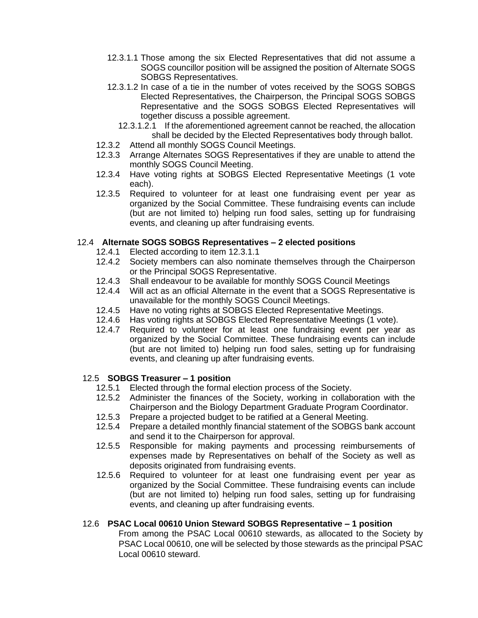- 12.3.1.1 Those among the six Elected Representatives that did not assume a SOGS councillor position will be assigned the position of Alternate SOGS SOBGS Representatives.
- 12.3.1.2 In case of a tie in the number of votes received by the SOGS SOBGS Elected Representatives, the Chairperson, the Principal SOGS SOBGS Representative and the SOGS SOBGS Elected Representatives will together discuss a possible agreement.
	- 12.3.1.2.1 If the aforementioned agreement cannot be reached, the allocation shall be decided by the Elected Representatives body through ballot.
- 12.3.2 Attend all monthly SOGS Council Meetings.
- 12.3.3 Arrange Alternates SOGS Representatives if they are unable to attend the monthly SOGS Council Meeting.
- 12.3.4 Have voting rights at SOBGS Elected Representative Meetings (1 vote each).
- 12.3.5 Required to volunteer for at least one fundraising event per year as organized by the Social Committee. These fundraising events can include (but are not limited to) helping run food sales, setting up for fundraising events, and cleaning up after fundraising events.

## 12.4 **Alternate SOGS SOBGS Representatives – 2 elected positions**

- 12.4.1 Elected according to item 12.3.1.1
- 12.4.2 Society members can also nominate themselves through the Chairperson or the Principal SOGS Representative.
- 12.4.3 Shall endeavour to be available for monthly SOGS Council Meetings
- 12.4.4 Will act as an official Alternate in the event that a SOGS Representative is unavailable for the monthly SOGS Council Meetings.
- 12.4.5 Have no voting rights at SOBGS Elected Representative Meetings.
- 12.4.6 Has voting rights at SOBGS Elected Representative Meetings (1 vote).
- 12.4.7 Required to volunteer for at least one fundraising event per year as organized by the Social Committee. These fundraising events can include (but are not limited to) helping run food sales, setting up for fundraising events, and cleaning up after fundraising events.

#### 12.5 **SOBGS Treasurer – 1 position**

- 12.5.1 Elected through the formal election process of the Society.
- 12.5.2 Administer the finances of the Society, working in collaboration with the Chairperson and the Biology Department Graduate Program Coordinator.
- 12.5.3 Prepare a projected budget to be ratified at a General Meeting.
- 12.5.4 Prepare a detailed monthly financial statement of the SOBGS bank account and send it to the Chairperson for approval.
- 12.5.5 Responsible for making payments and processing reimbursements of expenses made by Representatives on behalf of the Society as well as deposits originated from fundraising events.
- 12.5.6 Required to volunteer for at least one fundraising event per year as organized by the Social Committee. These fundraising events can include (but are not limited to) helping run food sales, setting up for fundraising events, and cleaning up after fundraising events.

## 12.6 **PSAC Local 00610 Union Steward SOBGS Representative – 1 position**

From among the PSAC Local 00610 stewards, as allocated to the Society by PSAC Local 00610, one will be selected by those stewards as the principal PSAC Local 00610 steward.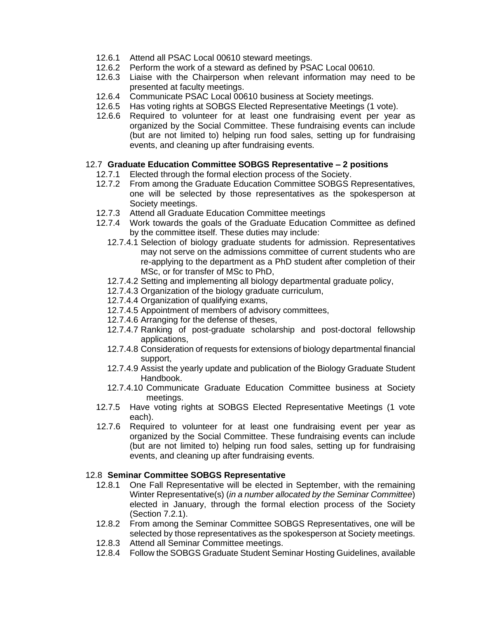- 12.6.1 Attend all PSAC Local 00610 steward meetings.
- 12.6.2 Perform the work of a steward as defined by PSAC Local 00610.
- 12.6.3 Liaise with the Chairperson when relevant information may need to be presented at faculty meetings.
- 12.6.4 Communicate PSAC Local 00610 business at Society meetings.
- 12.6.5 Has voting rights at SOBGS Elected Representative Meetings (1 vote).
- 12.6.6 Required to volunteer for at least one fundraising event per year as organized by the Social Committee. These fundraising events can include (but are not limited to) helping run food sales, setting up for fundraising events, and cleaning up after fundraising events.

#### 12.7 **Graduate Education Committee SOBGS Representative – 2 positions**

- 12.7.1 Elected through the formal election process of the Society.
- 12.7.2 From among the Graduate Education Committee SOBGS Representatives, one will be selected by those representatives as the spokesperson at Society meetings.
- 12.7.3 Attend all Graduate Education Committee meetings
- 12.7.4 Work towards the goals of the Graduate Education Committee as defined by the committee itself. These duties may include:
	- 12.7.4.1 Selection of biology graduate students for admission. Representatives may not serve on the admissions committee of current students who are re-applying to the department as a PhD student after completion of their MSc, or for transfer of MSc to PhD,
	- 12.7.4.2 Setting and implementing all biology departmental graduate policy,
	- 12.7.4.3 Organization of the biology graduate curriculum,
	- 12.7.4.4 Organization of qualifying exams,
	- 12.7.4.5 Appointment of members of advisory committees,
	- 12.7.4.6 Arranging for the defense of theses,
	- 12.7.4.7 Ranking of post-graduate scholarship and post-doctoral fellowship applications,
	- 12.7.4.8 Consideration of requests for extensions of biology departmental financial support,
	- 12.7.4.9 Assist the yearly update and publication of the Biology Graduate Student Handbook.
	- 12.7.4.10 Communicate Graduate Education Committee business at Society meetings.
- 12.7.5 Have voting rights at SOBGS Elected Representative Meetings (1 vote each).
- 12.7.6 Required to volunteer for at least one fundraising event per year as organized by the Social Committee. These fundraising events can include (but are not limited to) helping run food sales, setting up for fundraising events, and cleaning up after fundraising events.

#### 12.8 **Seminar Committee SOBGS Representative**

- 12.8.1 One Fall Representative will be elected in September, with the remaining Winter Representative(s) (*in a number allocated by the Seminar Committee*) elected in January, through the formal election process of the Society (Section 7.2.1).
- 12.8.2 From among the Seminar Committee SOBGS Representatives, one will be selected by those representatives as the spokesperson at Society meetings.
- 12.8.3 Attend all Seminar Committee meetings.
- 12.8.4 Follow the SOBGS Graduate Student Seminar Hosting Guidelines, available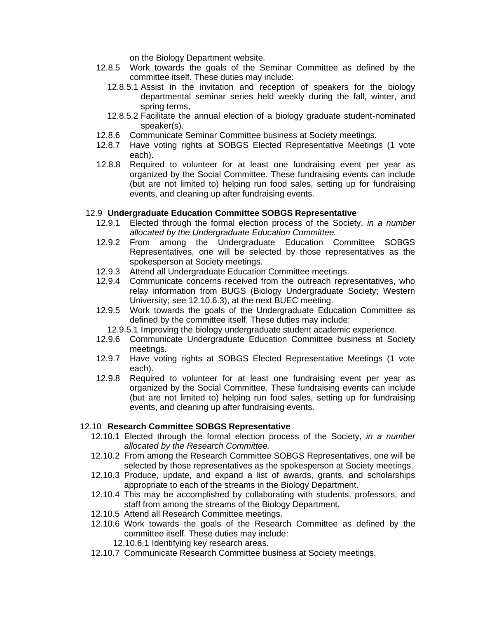on the Biology Department website.

- 12.8.5 Work towards the goals of the Seminar Committee as defined by the committee itself. These duties may include:
	- 12.8.5.1 Assist in the invitation and reception of speakers for the biology departmental seminar series held weekly during the fall, winter, and spring terms,
	- 12.8.5.2 Facilitate the annual election of a biology graduate student-nominated speaker(s).
- 12.8.6 Communicate Seminar Committee business at Society meetings.
- 12.8.7 Have voting rights at SOBGS Elected Representative Meetings (1 vote each).
- 12.8.8 Required to volunteer for at least one fundraising event per year as organized by the Social Committee. These fundraising events can include (but are not limited to) helping run food sales, setting up for fundraising events, and cleaning up after fundraising events.

#### 12.9 **Undergraduate Education Committee SOBGS Representative**

- 12.9.1 Elected through the formal election process of the Society, *in a number allocated by the Undergraduate Education Committee.*
- 12.9.2 From among the Undergraduate Education Committee SOBGS Representatives, one will be selected by those representatives as the spokesperson at Society meetings.
- 12.9.3 Attend all Undergraduate Education Committee meetings.
- 12.9.4 Communicate concerns received from the outreach representatives, who relay information from BUGS (Biology Undergraduate Society; Western University; see 12.10.6.3), at the next BUEC meeting.
- 12.9.5 Work towards the goals of the Undergraduate Education Committee as defined by the committee itself. These duties may include:
	- 12.9.5.1 Improving the biology undergraduate student academic experience.
- 12.9.6 Communicate Undergraduate Education Committee business at Society meetings.
- 12.9.7 Have voting rights at SOBGS Elected Representative Meetings (1 vote each).
- 12.9.8 Required to volunteer for at least one fundraising event per year as organized by the Social Committee. These fundraising events can include (but are not limited to) helping run food sales, setting up for fundraising events, and cleaning up after fundraising events.

#### 12.10 **Research Committee SOBGS Representative**

- 12.10.1 Elected through the formal election process of the Society, *in a number allocated by the Research Committee.*
- 12.10.2 From among the Research Committee SOBGS Representatives, one will be selected by those representatives as the spokesperson at Society meetings.
- 12.10.3 Produce, update, and expand a list of awards, grants, and scholarships appropriate to each of the streams in the Biology Department.
- 12.10.4 This may be accomplished by collaborating with students, professors, and staff from among the streams of the Biology Department.
- 12.10.5 Attend all Research Committee meetings.
- 12.10.6 Work towards the goals of the Research Committee as defined by the committee itself. These duties may include:
	- 12.10.6.1 Identifying key research areas.
- 12.10.7 Communicate Research Committee business at Society meetings.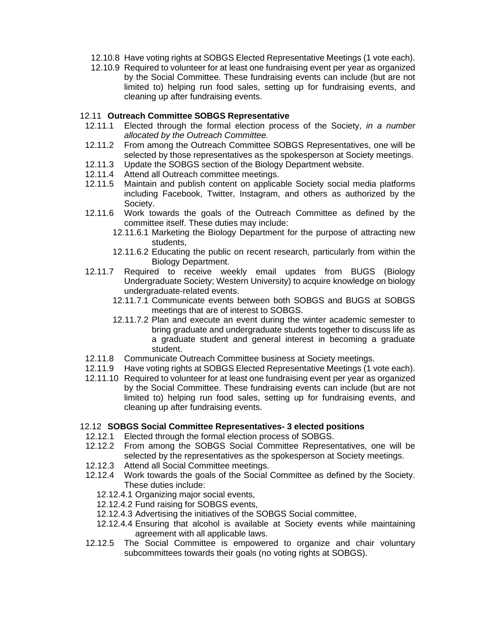- 12.10.8 Have voting rights at SOBGS Elected Representative Meetings (1 vote each).
- 12.10.9 Required to volunteer for at least one fundraising event per year as organized by the Social Committee. These fundraising events can include (but are not limited to) helping run food sales, setting up for fundraising events, and cleaning up after fundraising events.

## 12.11 **Outreach Committee SOBGS Representative**

- 12.11.1 Elected through the formal election process of the Society, *in a number allocated by the Outreach Committee.*
- 12.11.2 From among the Outreach Committee SOBGS Representatives, one will be selected by those representatives as the spokesperson at Society meetings.
- 12.11.3 Update the SOBGS section of the Biology Department website.
- 12.11.4 Attend all Outreach committee meetings.
- 12.11.5 Maintain and publish content on applicable Society social media platforms including Facebook, Twitter, Instagram, and others as authorized by the Society.
- 12.11.6 Work towards the goals of the Outreach Committee as defined by the committee itself. These duties may include:
	- 12.11.6.1 Marketing the Biology Department for the purpose of attracting new students,
	- 12.11.6.2 Educating the public on recent research, particularly from within the Biology Department.
- 12.11.7 Required to receive weekly email updates from BUGS (Biology Undergraduate Society; Western University) to acquire knowledge on biology undergraduate-related events.
	- 12.11.7.1 Communicate events between both SOBGS and BUGS at SOBGS meetings that are of interest to SOBGS.
	- 12.11.7.2 Plan and execute an event during the winter academic semester to bring graduate and undergraduate students together to discuss life as a graduate student and general interest in becoming a graduate student.
- 12.11.8 Communicate Outreach Committee business at Society meetings.
- 12.11.9 Have voting rights at SOBGS Elected Representative Meetings (1 vote each).
- 12.11.10 Required to volunteer for at least one fundraising event per year as organized by the Social Committee. These fundraising events can include (but are not limited to) helping run food sales, setting up for fundraising events, and cleaning up after fundraising events.

## 12.12 **SOBGS Social Committee Representatives- 3 elected positions**

- 12.12.1 Elected through the formal election process of SOBGS.
- 12.12.2 From among the SOBGS Social Committee Representatives, one will be selected by the representatives as the spokesperson at Society meetings.
- 12.12.3 Attend all Social Committee meetings.
- 12.12.4 Work towards the goals of the Social Committee as defined by the Society. These duties include:
	- 12.12.4.1 Organizing major social events,
	- 12.12.4.2 Fund raising for SOBGS events,
	- 12.12.4.3 Advertising the initiatives of the SOBGS Social committee,
	- 12.12.4.4 Ensuring that alcohol is available at Society events while maintaining agreement with all applicable laws.
- 12.12.5 The Social Committee is empowered to organize and chair voluntary subcommittees towards their goals (no voting rights at SOBGS).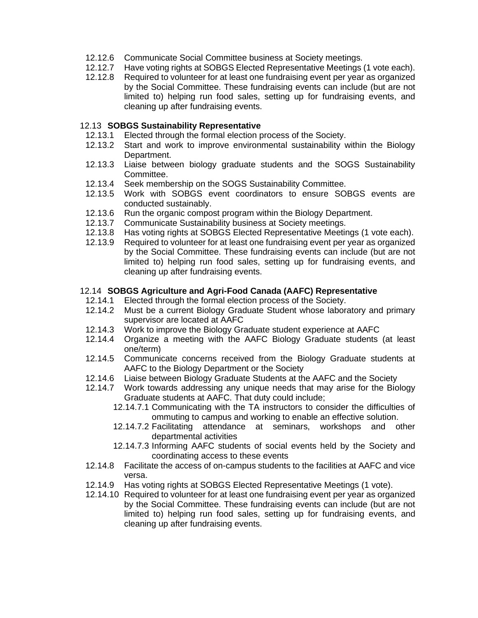- 12.12.6 Communicate Social Committee business at Society meetings.
- 12.12.7 Have voting rights at SOBGS Elected Representative Meetings (1 vote each).
- 12.12.8 Required to volunteer for at least one fundraising event per year as organized by the Social Committee. These fundraising events can include (but are not limited to) helping run food sales, setting up for fundraising events, and cleaning up after fundraising events.

#### 12.13 **SOBGS Sustainability Representative**

- 12.13.1 Elected through the formal election process of the Society.
- 12.13.2 Start and work to improve environmental sustainability within the Biology Department.
- 12.13.3 Liaise between biology graduate students and the SOGS Sustainability Committee.
- 12.13.4 Seek membership on the SOGS Sustainability Committee.
- 12.13.5 Work with SOBGS event coordinators to ensure SOBGS events are conducted sustainably.
- 12.13.6 Run the organic compost program within the Biology Department.
- 12.13.7 Communicate Sustainability business at Society meetings.
- 12.13.8 Has voting rights at SOBGS Elected Representative Meetings (1 vote each).
- 12.13.9 Required to volunteer for at least one fundraising event per year as organized by the Social Committee. These fundraising events can include (but are not limited to) helping run food sales, setting up for fundraising events, and cleaning up after fundraising events.

#### 12.14 **SOBGS Agriculture and Agri-Food Canada (AAFC) Representative**

- 12.14.1 Elected through the formal election process of the Society.
- 12.14.2 Must be a current Biology Graduate Student whose laboratory and primary supervisor are located at AAFC
- 12.14.3 Work to improve the Biology Graduate student experience at AAFC
- 12.14.4 Organize a meeting with the AAFC Biology Graduate students (at least one/term)
- 12.14.5 Communicate concerns received from the Biology Graduate students at AAFC to the Biology Department or the Society
- 12.14.6 Liaise between Biology Graduate Students at the AAFC and the Society
- 12.14.7 Work towards addressing any unique needs that may arise for the Biology Graduate students at AAFC. That duty could include;
	- 12.14.7.1 Communicating with the TA instructors to consider the difficulties of ommuting to campus and working to enable an effective solution.
	- 12.14.7.2 Facilitating attendance at seminars, workshops and other departmental activities
	- 12.14.7.3 Informing AAFC students of social events held by the Society and coordinating access to these events
- 12.14.8 Facilitate the access of on-campus students to the facilities at AAFC and vice versa.
- 12.14.9 Has voting rights at SOBGS Elected Representative Meetings (1 vote).
- 12.14.10 Required to volunteer for at least one fundraising event per year as organized by the Social Committee. These fundraising events can include (but are not limited to) helping run food sales, setting up for fundraising events, and cleaning up after fundraising events.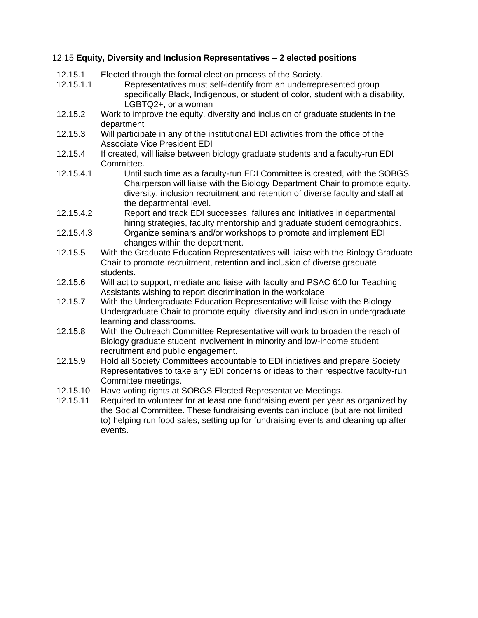# 12.15 **Equity, Diversity and Inclusion Representatives – 2 elected positions**

| 12.15.1<br>12.15.1.1 | Elected through the formal election process of the Society.<br>Representatives must self-identify from an underrepresented group<br>specifically Black, Indigenous, or student of color, student with a disability,<br>LGBTQ2+, or a woman                                                                                             |  |  |
|----------------------|----------------------------------------------------------------------------------------------------------------------------------------------------------------------------------------------------------------------------------------------------------------------------------------------------------------------------------------|--|--|
| 12.15.2              | Work to improve the equity, diversity and inclusion of graduate students in the<br>department                                                                                                                                                                                                                                          |  |  |
| 12.15.3              | Will participate in any of the institutional EDI activities from the office of the<br><b>Associate Vice President EDI</b>                                                                                                                                                                                                              |  |  |
| 12.15.4              | If created, will liaise between biology graduate students and a faculty-run EDI<br>Committee.                                                                                                                                                                                                                                          |  |  |
| 12.15.4.1            | Until such time as a faculty-run EDI Committee is created, with the SOBGS<br>Chairperson will liaise with the Biology Department Chair to promote equity,<br>diversity, inclusion recruitment and retention of diverse faculty and staff at<br>the departmental level.                                                                 |  |  |
| 12.15.4.2            | Report and track EDI successes, failures and initiatives in departmental<br>hiring strategies, faculty mentorship and graduate student demographics.                                                                                                                                                                                   |  |  |
| 12.15.4.3            | Organize seminars and/or workshops to promote and implement EDI<br>changes within the department.                                                                                                                                                                                                                                      |  |  |
| 12.15.5              | With the Graduate Education Representatives will liaise with the Biology Graduate<br>Chair to promote recruitment, retention and inclusion of diverse graduate<br>students.                                                                                                                                                            |  |  |
| 12.15.6              | Will act to support, mediate and liaise with faculty and PSAC 610 for Teaching<br>Assistants wishing to report discrimination in the workplace                                                                                                                                                                                         |  |  |
| 12.15.7              | With the Undergraduate Education Representative will liaise with the Biology<br>Undergraduate Chair to promote equity, diversity and inclusion in undergraduate<br>learning and classrooms.                                                                                                                                            |  |  |
| 12.15.8              | With the Outreach Committee Representative will work to broaden the reach of<br>Biology graduate student involvement in minority and low-income student<br>recruitment and public engagement.                                                                                                                                          |  |  |
| 12.15.9              | Hold all Society Committees accountable to EDI initiatives and prepare Society<br>Representatives to take any EDI concerns or ideas to their respective faculty-run<br>Committee meetings.                                                                                                                                             |  |  |
| 12.15.10<br>12.15.11 | Have voting rights at SOBGS Elected Representative Meetings.<br>Required to volunteer for at least one fundraising event per year as organized by<br>the Social Committee. These fundraising events can include (but are not limited<br>to) helping run food sales, setting up for fundraising events and cleaning up after<br>events. |  |  |